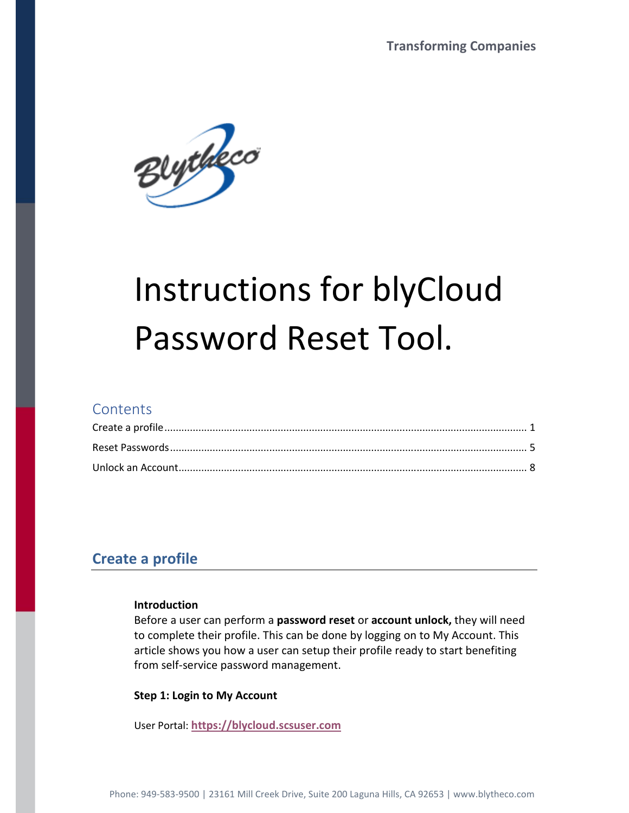

# Instructions for blyCloud Password Reset Tool.

### **Contents**

## **Create a profile**

#### **Introduction**

Before a user can perform a **password reset** or **account unlock,** they will need to complete their profile. This can be done by logging on to My Account. This article shows you how a user can setup their profile ready to start benefiting from self-service password management.

#### **Step 1: Login to My Account**

User Portal: **https://blycloud.scsuser.com**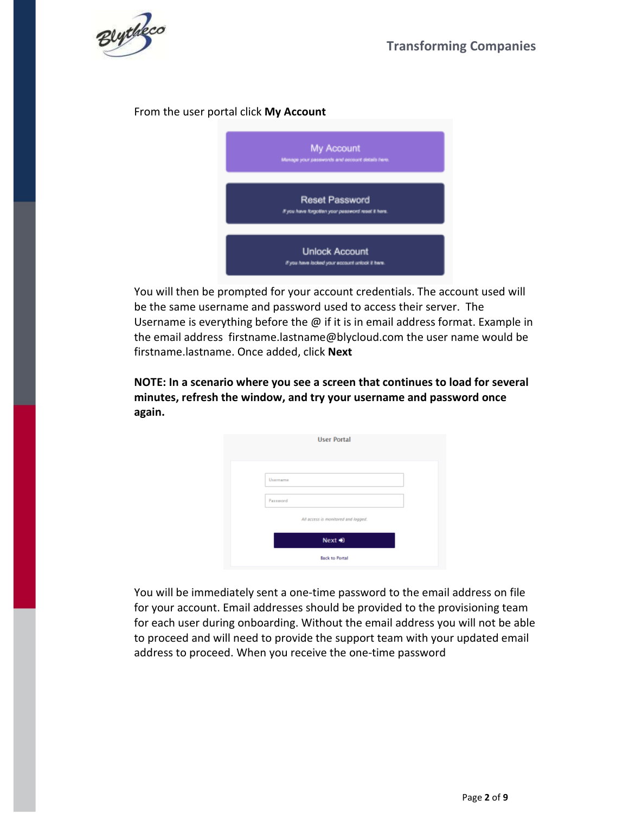

#### From the user portal click **My Account**



You will then be prompted for your account credentials. The account used will be the same username and password used to access their server. The Username is everything before the @ if it is in email address format. Example in the email address firstname.lastname@blycloud.com the user name would be firstname.lastname. Once added, click **Next** 

**NOTE: In a scenario where you see a screen that continues to load for several minutes, refresh the window, and try your username and password once again.** 

| <b>User Portal</b>                  |  |
|-------------------------------------|--|
|                                     |  |
| Usemame<br>Password                 |  |
| All access is monitored and logged. |  |
| Next +0                             |  |
| <b>Back to Portal</b>               |  |

You will be immediately sent a one-time password to the email address on file for your account. Email addresses should be provided to the provisioning team for each user during onboarding. Without the email address you will not be able to proceed and will need to provide the support team with your updated email address to proceed. When you receive the one-time password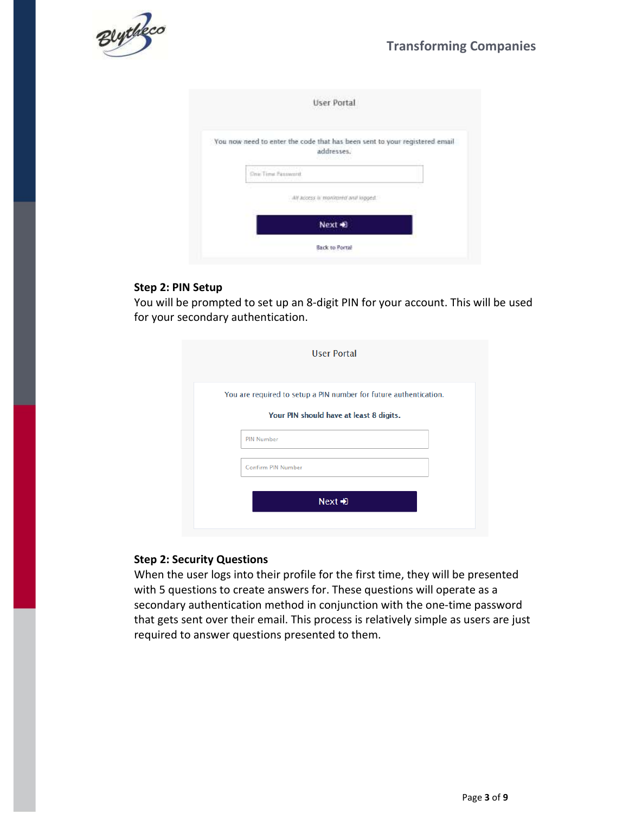

| User Portal                                                                                                             |
|-------------------------------------------------------------------------------------------------------------------------|
| You now need to enter the code that has been sent to your registered email<br>addresses.<br>all All Staff and Allen 100 |
| One Time Fassworth<br>the state of the state and state of the state                                                     |
| . All access is monitored and loggest                                                                                   |
| Next +8                                                                                                                 |
| <b>Back to Portal</b>                                                                                                   |

#### **Step 2: PIN Setup**

You will be prompted to set up an 8-digit PIN for your account. This will be used for your secondary authentication.

| <b>User Portal</b>                                                |
|-------------------------------------------------------------------|
| You are required to setup a PIN number for future authentication. |
| Your PIN should have at least 8 digits.                           |
| <b>PIN Number</b>                                                 |
| <b>Confirm PIN Number</b>                                         |
| $Next \rightarrow$                                                |

#### **Step 2: Security Questions**

When the user logs into their profile for the first time, they will be presented with 5 questions to create answers for. These questions will operate as a secondary authentication method in conjunction with the one-time password that gets sent over their email. This process is relatively simple as users are just required to answer questions presented to them.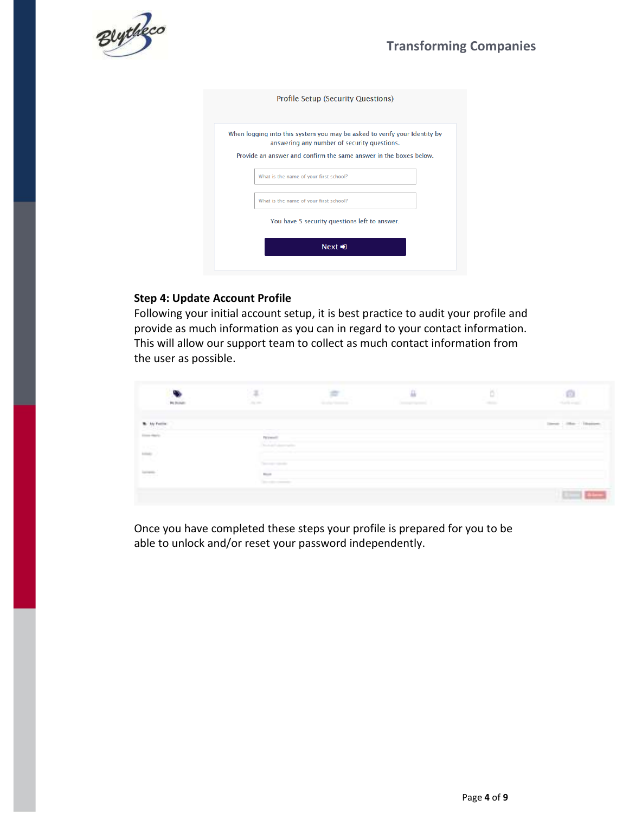## **Transforming Companies**



| <b>Profile Setup (Security Questions)</b>                                                                                                                                                     |
|-----------------------------------------------------------------------------------------------------------------------------------------------------------------------------------------------|
| When logging into this system you may be asked to verify your Identity by<br>answering any number of security questions.<br>Provide an answer and confirm the same answer in the boxes below. |
| What is the name of your first school?                                                                                                                                                        |
| What is the name of your first school?                                                                                                                                                        |
| You have 5 security questions left to answer.                                                                                                                                                 |
| $Next$ $\triangle$                                                                                                                                                                            |

#### **Step 4: Update Account Profile**

Following your initial account setup, it is best practice to audit your profile and provide as much information as you can in regard to your contact information. This will allow our support team to collect as much contact information from the user as possible.

| Technic             | $\overline{a}$<br>$\sim$ $-$                  | ---- | 표<br>Property September | b<br><b>STATE</b> | m<br>and work.                          |
|---------------------|-----------------------------------------------|------|-------------------------|-------------------|-----------------------------------------|
| <b>W. Ay Fatter</b> |                                               |      |                         |                   | <b>Colorado</b><br><b>Common Common</b> |
|                     | Personally<br>---<br>The August Column States |      |                         |                   |                                         |
| 25                  | The property state of                         |      |                         |                   |                                         |
|                     | <b>Black</b><br><b>Service Commercial</b>     |      |                         |                   |                                         |
|                     |                                               |      |                         |                   |                                         |

Once you have completed these steps your profile is prepared for you to be able to unlock and/or reset your password independently.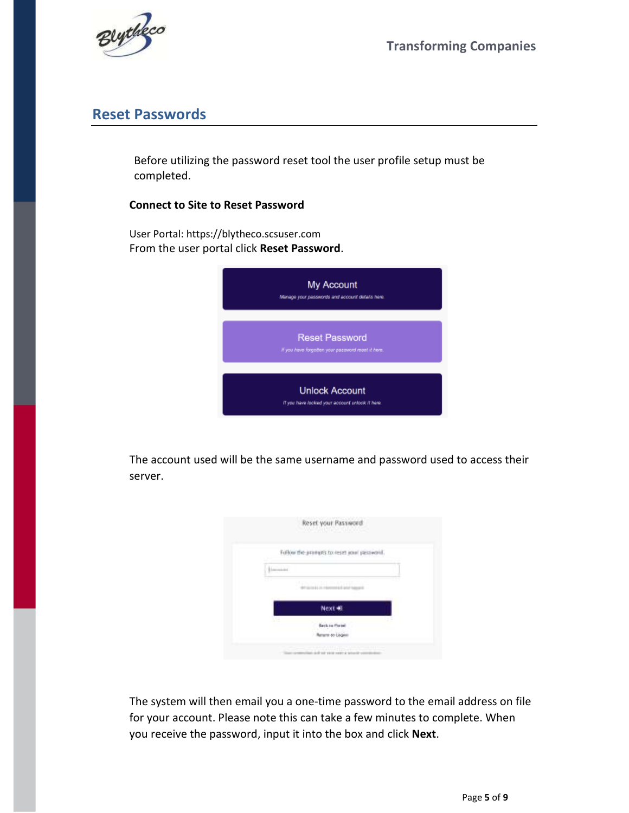



## **Reset Passwords**

Before utilizing the password reset tool the user profile setup must be completed.

#### **Connect to Site to Reset Password**

User Portal: https://blytheco.scsuser.com From the user portal click **Reset Password**.



The account used will be the same username and password used to access their server.

| Reset your Password                                         |
|-------------------------------------------------------------|
| Fullow the prompts to reset your password.                  |
| ----                                                        |
| an a<br>PERMITTENT                                          |
| Next 40                                                     |
| V.<br><b>Back to Fortell</b>                                |
| <b>Manument des Lisiques</b>                                |
| <b>William Services</b><br>IF 12 12 13 14 15 17 18 19<br>-- |

The system will then email you a one-time password to the email address on file for your account. Please note this can take a few minutes to complete. When you receive the password, input it into the box and click **Next**.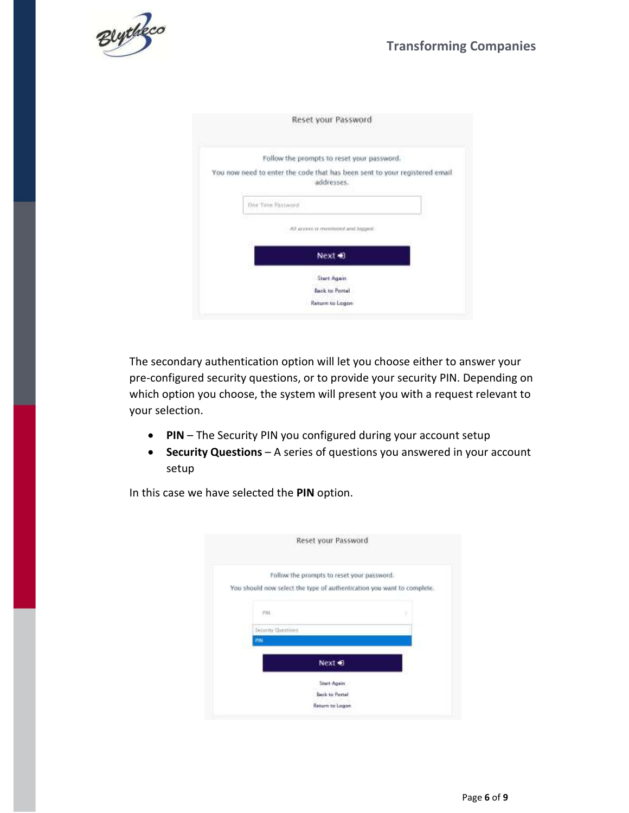

| Reset your Password                                                                      |
|------------------------------------------------------------------------------------------|
| Follow the prompts to reset your password.                                               |
| You now need to enter the code that has been sent to your registered email<br>addresses. |
| One Time Password                                                                        |
| All screes or membred and higgest.                                                       |
| Next 10                                                                                  |
| <b>Start Again</b>                                                                       |
| Back to Portal                                                                           |
| Return to Logon                                                                          |

The secondary authentication option will let you choose either to answer your pre-configured security questions, or to provide your security PIN. Depending on which option you choose, the system will present you with a request relevant to your selection.

- **PIN**  The Security PIN you configured during your account setup
- **Security Questions** A series of questions you answered in your account setup

In this case we have selected the **PIN** option.

|                    | Reset your Password                                                    |   |
|--------------------|------------------------------------------------------------------------|---|
|                    | Follow the prompts to reset your password.                             |   |
|                    | You should now select the type of authentication you want to complete. |   |
| PW:                |                                                                        | ۱ |
| Security Questions |                                                                        |   |
| PW                 |                                                                        |   |
|                    | Next + 0                                                               |   |
|                    | Start Again                                                            |   |
|                    | Back to Portal                                                         |   |
|                    | Return to Logon                                                        |   |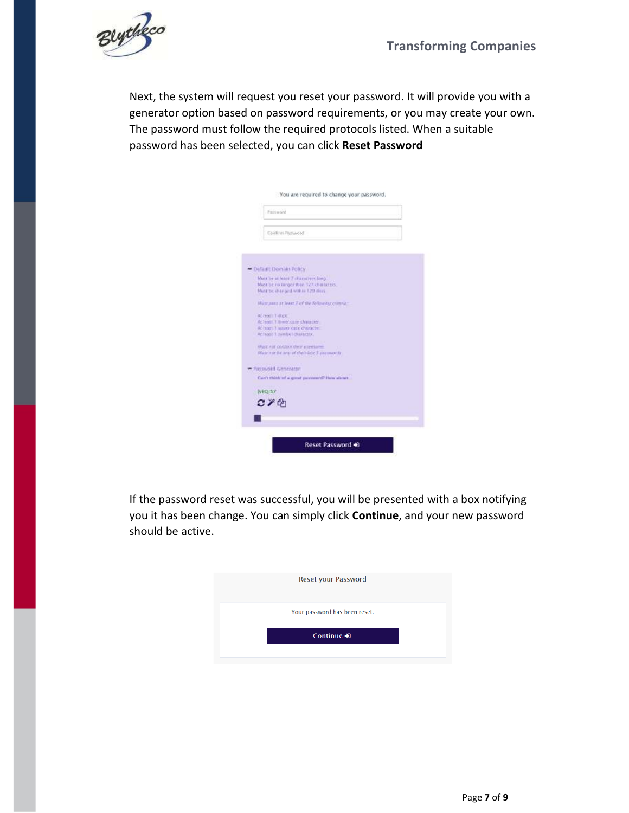

Next, the system will request you reset your password. It will provide you with a generator option based on password requirements, or you may create your own. The password must follow the required protocols listed. When a suitable password has been selected, you can click **Reset Password**

| Password                                                                    |  |
|-----------------------------------------------------------------------------|--|
| Coltfirm Password                                                           |  |
|                                                                             |  |
| - Default Domain Policy                                                     |  |
| Must be at teast 7 characters long.                                         |  |
| Must be no longer than 127, characters.<br>Musribe changed within 120 days. |  |
|                                                                             |  |
| Музг дана at Jeest 7 of the Roboung comma-                                  |  |
| At least 1-likele                                                           |  |
| Ar least. I limer care character.                                           |  |
| At least 1 square care checkers.                                            |  |
| Ar feast 1 symbol character.                                                |  |
| Masz Adt coldare they arentaries                                            |  |
| Minit mit he was at their last 3 pitcowords.                                |  |
|                                                                             |  |
| <b>Fassword Generator</b>                                                   |  |
| Car's think of a good password? How about                                   |  |
| IvEQ/S7                                                                     |  |
| $C \times C$                                                                |  |
|                                                                             |  |
|                                                                             |  |
|                                                                             |  |
|                                                                             |  |

If the password reset was successful, you will be presented with a box notifying you it has been change. You can simply click **Continue**, and your new password should be active.

| Your password has been reset. |
|-------------------------------|
|                               |
| Continue $\bigtriangledown$   |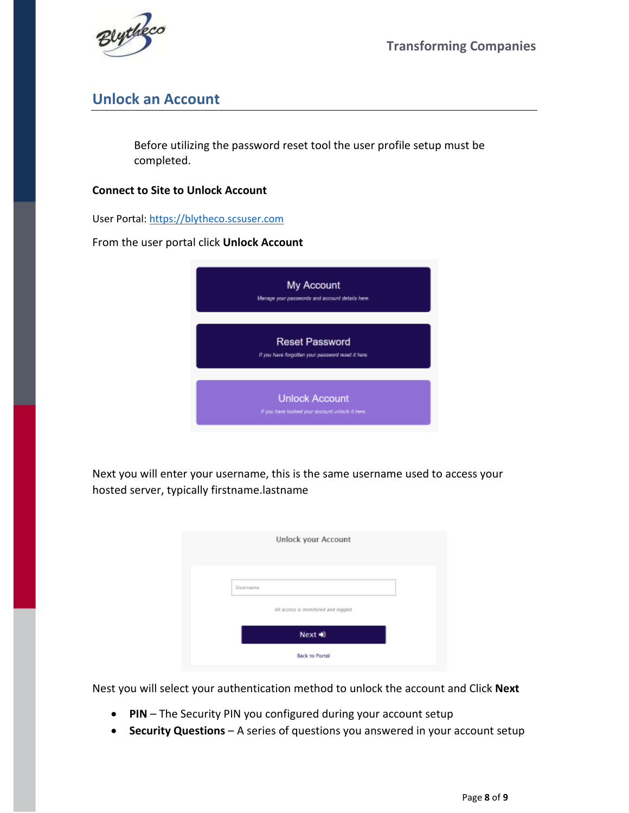



# **Unlock an Account**

Before utilizing the password reset tool the user profile setup must be completed.

#### **Connect to Site to Unlock Account**

User Portal: https://blytheco.scsuser.com

From the user portal click **Unlock Account**

| My Account<br>Manage your passwords and account details here.               |
|-----------------------------------------------------------------------------|
| <b>Reset Password</b><br>If you have forgotten your password reset it here. |
| <b>Unlock Account</b><br>If you have looked your account unlock it here.    |

Next you will enter your username, this is the same username used to access your hosted server, typically firstname.lastname

| <b>Unlock your Account</b>          |  |
|-------------------------------------|--|
|                                     |  |
| Username                            |  |
| All access is monitored and logged. |  |
| Next +0                             |  |
| <b>Back to Portal</b>               |  |

Nest you will select your authentication method to unlock the account and Click **Next**

- **PIN**  The Security PIN you configured during your account setup
- **Security Questions** A series of questions you answered in your account setup